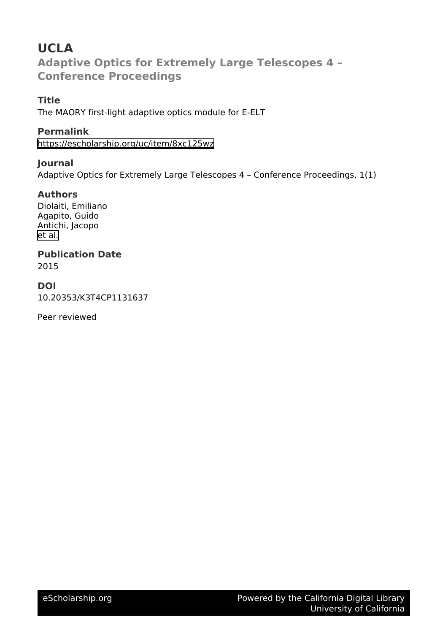# **UCLA Adaptive Optics for Extremely Large Telescopes 4 – Conference Proceedings**

# **Title**

The MAORY first-light adaptive optics module for E-ELT

# **Permalink**

<https://escholarship.org/uc/item/8xc125wz>

# **Journal**

Adaptive Optics for Extremely Large Telescopes 4 – Conference Proceedings, 1(1)

# **Authors**

Diolaiti, Emiliano Agapito, Guido Antichi, Jacopo [et al.](https://escholarship.org/uc/item/8xc125wz#author)

# **Publication Date**

2015

# **DOI**

10.20353/K3T4CP1131637

Peer reviewed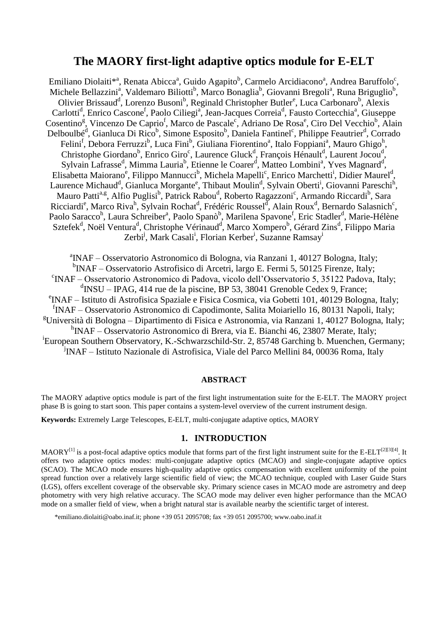# **The MAORY first-light adaptive optics module for E-ELT**

Emiliano Diolaiti $*$ <sup>a</sup>, Renata Abicca<sup>a</sup>, Guido Agapito<sup>b</sup>, Carmelo Arcidiacono<sup>a</sup>, Andrea Baruffolo<sup>c</sup>, Michele Bellazzini<sup>a</sup>, Valdemaro Biliotti<sup>b</sup>, Marco Bonaglia<sup>b</sup>, Giovanni Bregoli<sup>a</sup>, Runa Briguglio<sup>b</sup>, Olivier Brissaud<sup>d</sup>, Lorenzo Busoni<sup>b</sup>, Reginald Christopher Butler<sup>e</sup>, Luca Carbonaro<sup>b</sup>, Alexis Carlotti<sup>d</sup>, Enrico Cascone<sup>f</sup>, Paolo Ciliegi<sup>a</sup>, Jean-Jacques Correia<sup>d</sup>, Fausto Cortecchia<sup>a</sup>, Giuseppe Cosentino<sup>g</sup>, Vincenzo De Caprio<sup>f</sup>, Marco de Pascale<sup>c</sup>, Adriano De Rosa<sup>e</sup>, Ciro Del Vecchio<sup>b</sup>, Alain Delboulbé<sup>d</sup>, Gianluca Di Rico<sup>b</sup>, Simone Esposito<sup>b</sup>, Daniela Fantinel<sup>c</sup>, Philippe Feautrier<sup>d</sup>, Corrado Felini<sup>f</sup>, Debora Ferruzzi<sup>b</sup>, Luca Fini<sup>b</sup>, Giuliana Fiorentino<sup>a</sup>, Italo Foppiani<sup>a</sup>, Mauro Ghigo<sup>h</sup>, Christophe Giordano<sup>b</sup>, Enrico Giro<sup>c</sup>, Laurence Gluck<sup>d</sup>, François Hénault<sup>d</sup>, Laurent Jocou<sup>d</sup>, Sylvain Lafrasse<sup>d</sup>, Mimma Lauria<sup>b</sup>, Etienne le Coarer<sup>d</sup>, Matteo Lombini<sup>a</sup>, Yves Magnard<sup>d</sup>, Elisabetta Maiorano<sup>e</sup>, Filippo Mannucci<sup>b</sup>, Michela Mapelli<sup>c</sup>, Enrico Marchetti<sup>i</sup>, Didier Maurel<sup>d</sup>, Laurence Michaud<sup>d</sup>, Gianluca Morgante<sup>e</sup>, Thibaut Moulin<sup>d</sup>, Sylvain Oberti<sup>i</sup>, Giovanni Pareschi<sup>h</sup>, Mauro Patti<sup>a,g</sup>, Alfio Puglisi<sup>b</sup>, Patrick Rabou<sup>d</sup>, Roberto Ragazzoni<sup>c</sup>, Armando Riccardi<sup>b</sup>, Sara Ricciardi<sup>e</sup>, Marco Riva<sup>h</sup>, Sylvain Rochat<sup>d</sup>, Frédéric Roussel<sup>d</sup>, Alain Roux<sup>d</sup>, Bernardo Salasnich<sup>c</sup>, Paolo Saracco<sup>h</sup>, Laura Schreiber<sup>a</sup>, Paolo Spanò<sup>b</sup>, Marilena Spavone<sup>f</sup>, Eric Stadler<sup>d</sup>, Marie-Hélène Sztefek<sup>d</sup>, Noël Ventura<sup>d</sup>, Christophe Vérinaud<sup>d</sup>, Marco Xompero<sup>b</sup>, Gérard Zins<sup>d</sup>, Filippo Maria Zerbi<sup>j</sup>, Mark Casali<sup>i</sup>, Florian Kerber<sup>i</sup>, Suzanne Ramsay<sup>i</sup>

a INAF – Osservatorio Astronomico di Bologna, via Ranzani 1, 40127 Bologna, Italy; <sup>b</sup>INAF – Osservatorio Astrofisico di Arcetri, largo E. Fermi 5, 50125 Firenze, Italy; c INAF – Osservatorio Astronomico di Padova, vicolo dell'Osservatorio 5, 35122 Padova, Italy; <sup>d</sup>INSU – IPAG, 414 rue de la piscine, BP 53, 38041 Grenoble Cedex 9, France; e INAF – Istituto di Astrofisica Spaziale e Fisica Cosmica, via Gobetti 101, 40129 Bologna, Italy; <sup>f</sup>INAF – Osservatorio Astronomico di Capodimonte, Salita Moiariello 16, 80131 Napoli, Italy;  ${}^{g}$ Università di Bologna – Dipartimento di Fisica e Astronomia, via Ranzani 1, 40127 Bologna, Italy; <sup>h</sup>INAF – Osservatorio Astronomico di Brera, via E. Bianchi 46, 23807 Merate, Italy; <sup>i</sup> European Southern Observatory, K.-Schwarzschild-Str. 2, 85748 Garching b. Muenchen, Germany; j INAF – Istituto Nazionale di Astrofisica, Viale del Parco Mellini 84, 00036 Roma, Italy

## **ABSTRACT**

The MAORY adaptive optics module is part of the first light instrumentation suite for the E-ELT. The MAORY project phase B is going to start soon. This paper contains a system-level overview of the current instrument design.

**Keywords:** Extremely Large Telescopes, E-ELT, multi-conjugate adaptive optics, MAORY

## **1. INTRODUCTION**

 $MAORY^{[1]}$  $MAORY^{[1]}$  $MAORY^{[1]}$  is a post-focal adaptive optics module that forms part of the first light instrument suite for the E-ELT<sup>[\[2\]\[3\]](#page-6-1)[\[4\]](#page-6-2)</sup>. It offers two adaptive optics modes: multi-conjugate adaptive optics (MCAO) and single-conjugate adaptive optics (SCAO). The MCAO mode ensures high-quality adaptive optics compensation with excellent uniformity of the point spread function over a relatively large scientific field of view; the MCAO technique, coupled with Laser Guide Stars (LGS), offers excellent coverage of the observable sky. Primary science cases in MCAO mode are astrometry and deep photometry with very high relative accuracy. The SCAO mode may deliver even higher performance than the MCAO mode on a smaller field of view, when a bright natural star is available nearby the scientific target of interest.

\*emiliano.diolaiti@oabo.inaf.it; phone +39 051 2095708; fax +39 051 2095700; www.oabo.inaf.it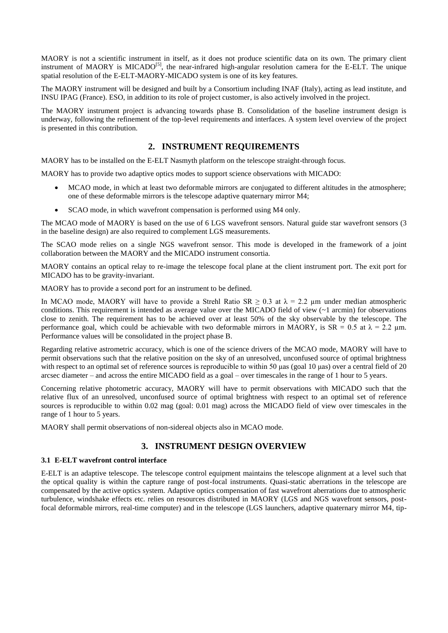MAORY is not a scientific instrument in itself, as it does not produce scientific data on its own. The primary client instrument of MAORY is MICADO<sup>[\[5\]](#page-6-3)</sup>, the near-infrared high-angular resolution camera for the E-ELT. The unique spatial resolution of the E-ELT-MAORY-MICADO system is one of its key features.

The MAORY instrument will be designed and built by a Consortium including INAF (Italy), acting as lead institute, and INSU IPAG (France). ESO, in addition to its role of project customer, is also actively involved in the project.

The MAORY instrument project is advancing towards phase B. Consolidation of the baseline instrument design is underway, following the refinement of the top-level requirements and interfaces. A system level overview of the project is presented in this contribution.

# **2. INSTRUMENT REQUIREMENTS**

MAORY has to be installed on the E-ELT Nasmyth platform on the telescope straight-through focus.

MAORY has to provide two adaptive optics modes to support science observations with MICADO:

- MCAO mode, in which at least two deformable mirrors are conjugated to different altitudes in the atmosphere; one of these deformable mirrors is the telescope adaptive quaternary mirror M4;
- SCAO mode, in which wavefront compensation is performed using M4 only.

The MCAO mode of MAORY is based on the use of 6 LGS wavefront sensors. Natural guide star wavefront sensors (3 in the baseline design) are also required to complement LGS measurements.

The SCAO mode relies on a single NGS wavefront sensor. This mode is developed in the framework of a joint collaboration between the MAORY and the MICADO instrument consortia.

MAORY contains an optical relay to re-image the telescope focal plane at the client instrument port. The exit port for MICADO has to be gravity-invariant.

MAORY has to provide a second port for an instrument to be defined.

In MCAO mode, MAORY will have to provide a Strehl Ratio SR  $\geq$  0.3 at  $\lambda$  = 2.2 µm under median atmospheric conditions. This requirement is intended as average value over the MICADO field of view  $(2)$  arcmin) for observations close to zenith. The requirement has to be achieved over at least 50% of the sky observable by the telescope. The performance goal, which could be achievable with two deformable mirrors in MAORY, is  $SR = 0.5$  at  $\lambda = 2.2$  µm. Performance values will be consolidated in the project phase B.

Regarding relative astrometric accuracy, which is one of the science drivers of the MCAO mode, MAORY will have to permit observations such that the relative position on the sky of an unresolved, unconfused source of optimal brightness with respect to an optimal set of reference sources is reproducible to within 50 μas (goal 10 μas) over a central field of 20 arcsec diameter – and across the entire MICADO field as a goal – over timescales in the range of 1 hour to 5 years.

Concerning relative photometric accuracy, MAORY will have to permit observations with MICADO such that the relative flux of an unresolved, unconfused source of optimal brightness with respect to an optimal set of reference sources is reproducible to within 0.02 mag (goal: 0.01 mag) across the MICADO field of view over timescales in the range of 1 hour to 5 years.

MAORY shall permit observations of non-sidereal objects also in MCAO mode.

# **3. INSTRUMENT DESIGN OVERVIEW**

## **3.1 E-ELT wavefront control interface**

E-ELT is an adaptive telescope. The telescope control equipment maintains the telescope alignment at a level such that the optical quality is within the capture range of post-focal instruments. Quasi-static aberrations in the telescope are compensated by the active optics system. Adaptive optics compensation of fast wavefront aberrations due to atmospheric turbulence, windshake effects etc. relies on resources distributed in MAORY (LGS and NGS wavefront sensors, postfocal deformable mirrors, real-time computer) and in the telescope (LGS launchers, adaptive quaternary mirror M4, tip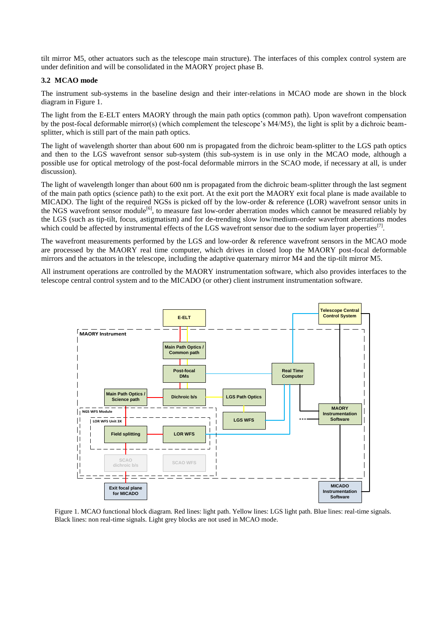tilt mirror M5, other actuators such as the telescope main structure). The interfaces of this complex control system are under definition and will be consolidated in the MAORY project phase B.

## **3.2 MCAO mode**

The instrument sub-systems in the baseline design and their inter-relations in MCAO mode are shown in the block diagram in Figure 1.

The light from the E-ELT enters MAORY through the main path optics (common path). Upon wavefront compensation by the post-focal deformable mirror(s) (which complement the telescope's M4/M5), the light is split by a dichroic beamsplitter, which is still part of the main path optics.

The light of wavelength shorter than about 600 nm is propagated from the dichroic beam-splitter to the LGS path optics and then to the LGS wavefront sensor sub-system (this sub-system is in use only in the MCAO mode, although a possible use for optical metrology of the post-focal deformable mirrors in the SCAO mode, if necessary at all, is under discussion).

The light of wavelength longer than about 600 nm is propagated from the dichroic beam-splitter through the last segment of the main path optics (science path) to the exit port. At the exit port the MAORY exit focal plane is made available to MICADO. The light of the required NGSs is picked off by the low-order & reference (LOR) wavefront sensor units in the NGS wavefront sensor module<sup>[\[6\]](#page-6-4)</sup>, to measure fast low-order aberration modes which cannot be measured reliably by the LGS (such as tip-tilt, focus, astigmatism) and for de-trending slow low/medium-order wavefront aberrations modes which could be affected by instrumental effects of the LGS wavefront sensor due to the sodium layer properties<sup>[\[7\]](#page-6-5)</sup>.

The wavefront measurements performed by the LGS and low-order & reference wavefront sensors in the MCAO mode are processed by the MAORY real time computer, which drives in closed loop the MAORY post-focal deformable mirrors and the actuators in the telescope, including the adaptive quaternary mirror M4 and the tip-tilt mirror M5.

All instrument operations are controlled by the MAORY instrumentation software, which also provides interfaces to the telescope central control system and to the MICADO (or other) client instrument instrumentation software.



Figure 1. MCAO functional block diagram. Red lines: light path. Yellow lines: LGS light path. Blue lines: real-time signals. Black lines: non real-time signals. Light grey blocks are not used in MCAO mode.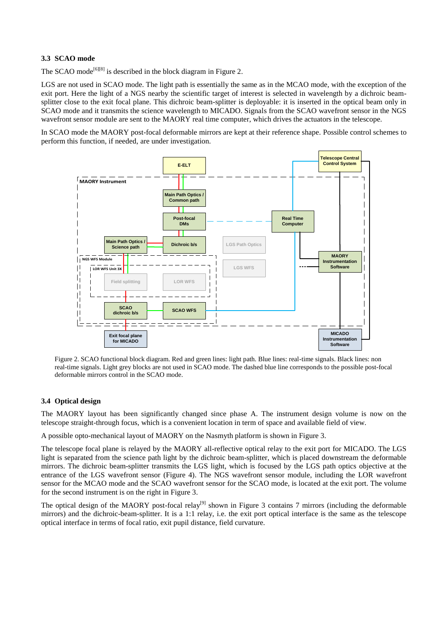## **3.3 SCAO mode**

The SCAO mode<sup>[\[6\]\[8\]](#page-6-4)</sup> is described in the block diagram in Figure 2.

LGS are not used in SCAO mode. The light path is essentially the same as in the MCAO mode, with the exception of the exit port. Here the light of a NGS nearby the scientific target of interest is selected in wavelength by a dichroic beamsplitter close to the exit focal plane. This dichroic beam-splitter is deployable: it is inserted in the optical beam only in SCAO mode and it transmits the science wavelength to MICADO. Signals from the SCAO wavefront sensor in the NGS wavefront sensor module are sent to the MAORY real time computer, which drives the actuators in the telescope.

In SCAO mode the MAORY post-focal deformable mirrors are kept at their reference shape. Possible control schemes to perform this function, if needed, are under investigation.



Figure 2. SCAO functional block diagram. Red and green lines: light path. Blue lines: real-time signals. Black lines: non real-time signals. Light grey blocks are not used in SCAO mode. The dashed blue line corresponds to the possible post-focal deformable mirrors control in the SCAO mode.

# **3.4 Optical design**

The MAORY layout has been significantly changed since phase A. The instrument design volume is now on the telescope straight-through focus, which is a convenient location in term of space and available field of view.

A possible opto-mechanical layout of MAORY on the Nasmyth platform is shown in Figure 3.

The telescope focal plane is relayed by the MAORY all-reflective optical relay to the exit port for MICADO. The LGS light is separated from the science path light by the dichroic beam-splitter, which is placed downstream the deformable mirrors. The dichroic beam-splitter transmits the LGS light, which is focused by the LGS path optics objective at the entrance of the LGS wavefront sensor (Figure 4). The NGS wavefront sensor module, including the LOR wavefront sensor for the MCAO mode and the SCAO wavefront sensor for the SCAO mode, is located at the exit port. The volume for the second instrument is on the right in Figure 3.

The optical design of the MAORY post-focal relay<sup>[\[9\]](#page-6-6)</sup> shown in Figure 3 contains 7 mirrors (including the deformable mirrors) and the dichroic-beam-splitter. It is a 1:1 relay, i.e. the exit port optical interface is the same as the telescope optical interface in terms of focal ratio, exit pupil distance, field curvature.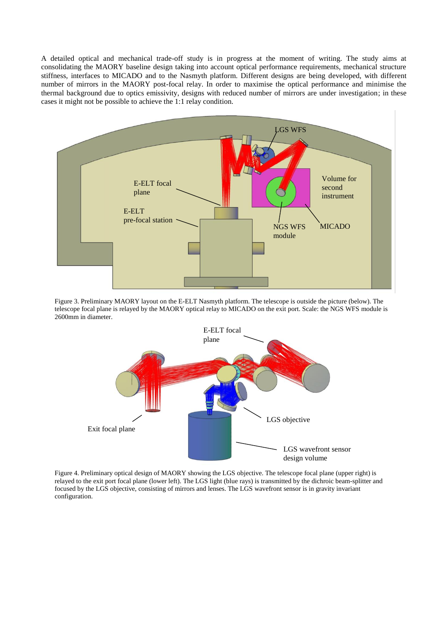A detailed optical and mechanical trade-off study is in progress at the moment of writing. The study aims at consolidating the MAORY baseline design taking into account optical performance requirements, mechanical structure stiffness, interfaces to MICADO and to the Nasmyth platform. Different designs are being developed, with different number of mirrors in the MAORY post-focal relay. In order to maximise the optical performance and minimise the thermal background due to optics emissivity, designs with reduced number of mirrors are under investigation; in these cases it might not be possible to achieve the 1:1 relay condition.



Figure 3. Preliminary MAORY layout on the E-ELT Nasmyth platform. The telescope is outside the picture (below). The telescope focal plane is relayed by the MAORY optical relay to MICADO on the exit port. Scale: the NGS WFS module is 2600mm in diameter.



Figure 4. Preliminary optical design of MAORY showing the LGS objective. The telescope focal plane (upper right) is relayed to the exit port focal plane (lower left). The LGS light (blue rays) is transmitted by the dichroic beam-splitter and focused by the LGS objective, consisting of mirrors and lenses. The LGS wavefront sensor is in gravity invariant configuration.